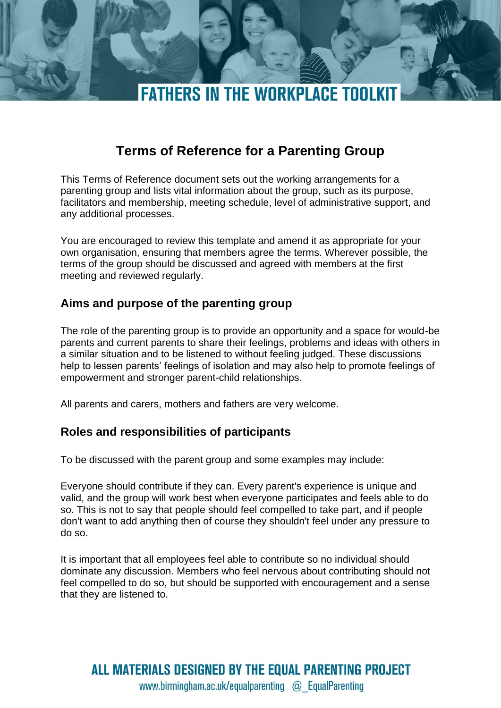

# **Terms of Reference for a Parenting Group**

This Terms of Reference document sets out the working arrangements for a parenting group and lists vital information about the group, such as its purpose, facilitators and membership, meeting schedule, level of administrative support, and any additional processes.

You are encouraged to review this template and amend it as appropriate for your own organisation, ensuring that members agree the terms. Wherever possible, the terms of the group should be discussed and agreed with members at the first meeting and reviewed regularly.

# **Aims and purpose of the parenting group**

The role of the parenting group is to provide an opportunity and a space for would-be parents and current parents to share their feelings, problems and ideas with others in a similar situation and to be listened to without feeling judged. These discussions help to lessen parents' feelings of isolation and may also help to promote feelings of empowerment and stronger parent-child relationships.

All parents and carers, mothers and fathers are very welcome.

# **Roles and responsibilities of participants**

To be discussed with the parent group and some examples may include:

Everyone should contribute if they can. Every parent's experience is unique and valid, and the group will work best when everyone participates and feels able to do so. This is not to say that people should feel compelled to take part, and if people don't want to add anything then of course they shouldn't feel under any pressure to do so.

It is important that all employees feel able to contribute so no individual should dominate any discussion. Members who feel nervous about contributing should not feel compelled to do so, but should be supported with encouragement and a sense that they are listened to.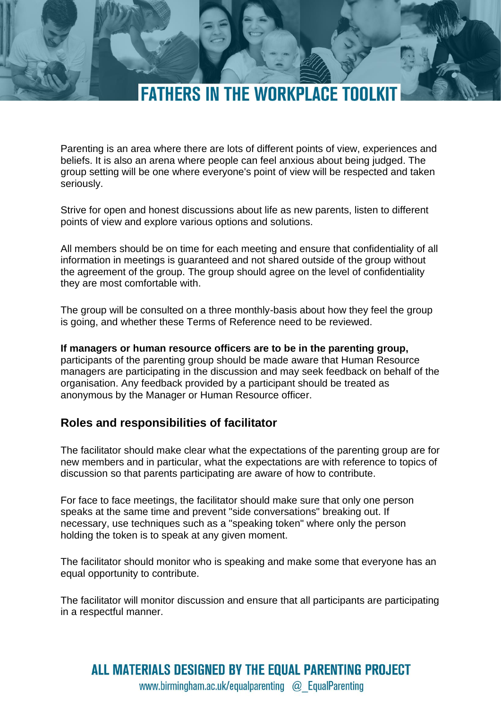# **FATHERS IN THE WORKPLACE TOOLK**

Parenting is an area where there are lots of different points of view, experiences and beliefs. It is also an arena where people can feel anxious about being judged. The group setting will be one where everyone's point of view will be respected and taken seriously.

Strive for open and honest discussions about life as new parents, listen to different points of view and explore various options and solutions.

All members should be on time for each meeting and ensure that confidentiality of all information in meetings is guaranteed and not shared outside of the group without the agreement of the group. The group should agree on the level of confidentiality they are most comfortable with.

The group will be consulted on a three monthly-basis about how they feel the group is going, and whether these Terms of Reference need to be reviewed.

**If managers or human resource officers are to be in the parenting group,**  participants of the parenting group should be made aware that Human Resource managers are participating in the discussion and may seek feedback on behalf of the organisation. Any feedback provided by a participant should be treated as anonymous by the Manager or Human Resource officer.

#### **Roles and responsibilities of facilitator**

The facilitator should make clear what the expectations of the parenting group are for new members and in particular, what the expectations are with reference to topics of discussion so that parents participating are aware of how to contribute.

For face to face meetings, the facilitator should make sure that only one person speaks at the same time and prevent "side conversations" breaking out. If necessary, use techniques such as a "speaking token" where only the person holding the token is to speak at any given moment.

The facilitator should monitor who is speaking and make some that everyone has an equal opportunity to contribute.

The facilitator will monitor discussion and ensure that all participants are participating in a respectful manner.